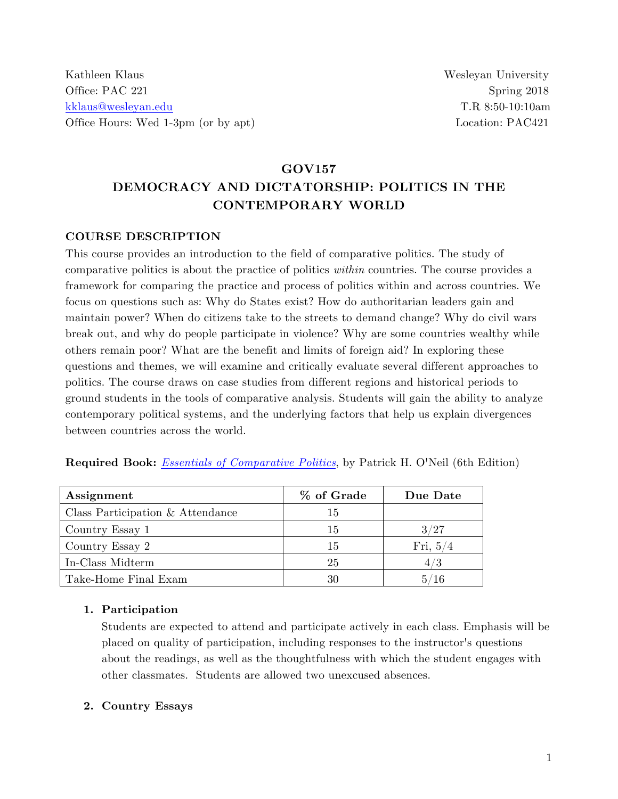# **GOV157 DEMOCRACY AND DICTATORSHIP: POLITICS IN THE CONTEMPORARY WORLD**

#### **COURSE DESCRIPTION**

This course provides an introduction to the field of comparative politics. The study of comparative politics is about the practice of politics *within* countries. The course provides a framework for comparing the practice and process of politics within and across countries. We focus on questions such as: Why do States exist? How do authoritarian leaders gain and maintain power? When do citizens take to the streets to demand change? Why do civil wars break out, and why do people participate in violence? Why are some countries wealthy while others remain poor? What are the benefit and limits of foreign aid? In exploring these questions and themes, we will examine and critically evaluate several different approaches to politics. The course draws on case studies from different regions and historical periods to ground students in the tools of comparative analysis. Students will gain the ability to analyze contemporary political systems, and the underlying factors that help us explain divergences between countries across the world.

|  | Required Book: <i>Essentials of Comparative Politics</i> , by Patrick H. O'Neil (6th Edition) |
|--|-----------------------------------------------------------------------------------------------|
|--|-----------------------------------------------------------------------------------------------|

| Assignment                       | % of Grade | Due Date   |
|----------------------------------|------------|------------|
| Class Participation & Attendance | 15         |            |
| Country Essay 1                  | 15         | 3/27       |
| Country Essay 2                  | 15         | Fri, $5/4$ |
| In-Class Midterm                 | 25         | 4/3        |
| Take-Home Final Exam             | 30         | 5/16       |

#### **1. Participation**

Students are expected to attend and participate actively in each class. Emphasis will be placed on quality of participation, including responses to the instructor's questions about the readings, as well as the thoughtfulness with which the student engages with other classmates. Students are allowed two unexcused absences.

#### **2. Country Essays**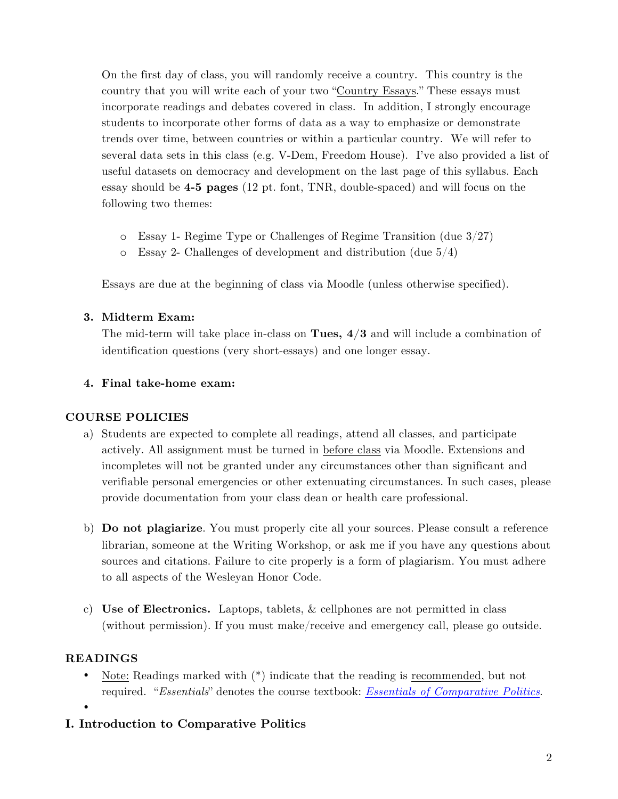On the first day of class, you will randomly receive a country. This country is the country that you will write each of your two "Country Essays." These essays must incorporate readings and debates covered in class. In addition, I strongly encourage students to incorporate other forms of data as a way to emphasize or demonstrate trends over time, between countries or within a particular country. We will refer to several data sets in this class (e.g. V-Dem, Freedom House). I've also provided a list of useful datasets on democracy and development on the last page of this syllabus. Each essay should be **4-5 pages** (12 pt. font, TNR, double-spaced) and will focus on the following two themes:

- o Essay 1- Regime Type or Challenges of Regime Transition (due 3/27)
- $\circ$  Essay 2- Challenges of development and distribution (due  $5/4$ )

Essays are due at the beginning of class via Moodle (unless otherwise specified).

#### **3. Midterm Exam:**

The mid-term will take place in-class on **Tues, 4/3** and will include a combination of identification questions (very short-essays) and one longer essay.

#### **4. Final take-home exam:**

#### **COURSE POLICIES**

- a) Students are expected to complete all readings, attend all classes, and participate actively. All assignment must be turned in before class via Moodle. Extensions and incompletes will not be granted under any circumstances other than significant and verifiable personal emergencies or other extenuating circumstances. In such cases, please provide documentation from your class dean or health care professional.
- b) **Do not plagiarize**. You must properly cite all your sources. Please consult a reference librarian, someone at the Writing Workshop, or ask me if you have any questions about sources and citations. Failure to cite properly is a form of plagiarism. You must adhere to all aspects of the Wesleyan Honor Code.
- c) **Use of Electronics.** Laptops, tablets, & cellphones are not permitted in class (without permission). If you must make/receive and emergency call, please go outside.

#### **READINGS**

•

• Note: Readings marked with  $(*)$  indicate that the reading is recommended, but not required. "*Essentials*" denotes the course textbook: *Essentials of Comparative Politics*.

### **I. Introduction to Comparative Politics**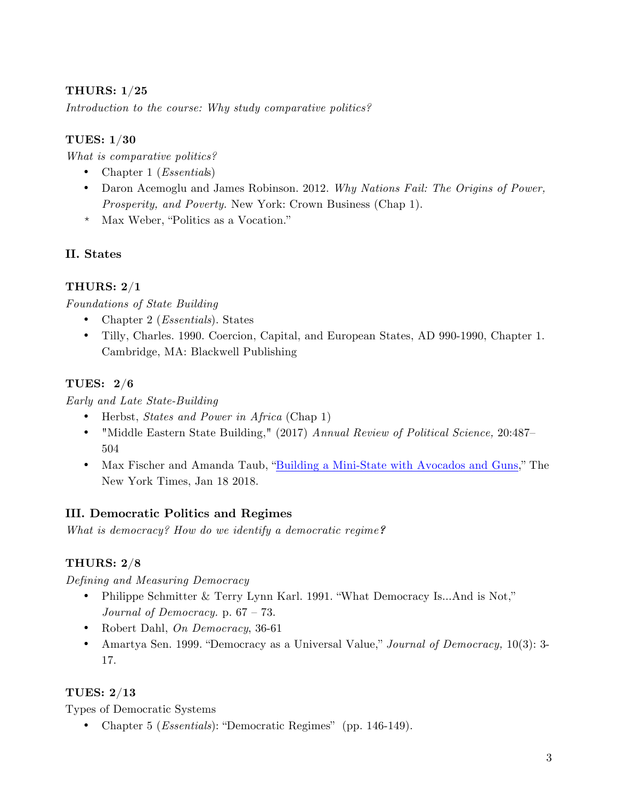#### **THURS: 1/25**

*Introduction to the course: Why study comparative politics?*

#### **TUES: 1/30**

*What is comparative politics?*

- Chapter 1 (*Essential*s)
- Daron Acemoglu and James Robinson. 2012. *Why Nations Fail: The Origins of Power, Prosperity, and Poverty.* New York: Crown Business (Chap 1).
- \* Max Weber, "Politics as a Vocation."

### **II. States**

### **THURS: 2/1**

#### *Foundations of State Building*

- Chapter 2 (*Essentials*). States
- Tilly, Charles. 1990. Coercion, Capital, and European States, AD 990-1990, Chapter 1. Cambridge, MA: Blackwell Publishing

#### **TUES: 2/6**

#### *Early and Late State-Building*

- Herbst, *States and Power in Africa* (Chap 1)
- "Middle Eastern State Building," (2017) *Annual Review of Political Science,* 20:487– 504
- Max Fischer and Amanda Taub, "Building a Mini-State with Avocados and Guns," The New York Times, Jan 18 2018.

### **III. Democratic Politics and Regimes**

*What is democracy? How do we identify a democratic regime?*

### **THURS: 2/8**

*Defining and Measuring Democracy*

- Philippe Schmitter & Terry Lynn Karl. 1991. "What Democracy Is...And is Not," *Journal of Democracy.* p. 67 – 73.
- Robert Dahl, *On Democracy*, 36-61
- Amartya Sen. 1999. "Democracy as a Universal Value," *Journal of Democracy,* 10(3): 3- 17.

#### **TUES: 2/13**

Types of Democratic Systems

• Chapter 5 (*Essentials*): "Democratic Regimes" (pp. 146-149).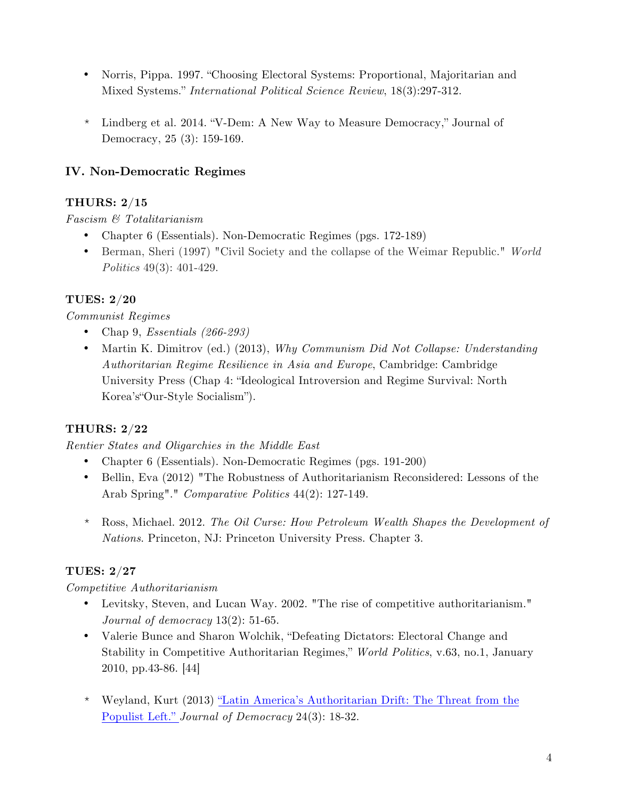- Norris, Pippa. 1997. "Choosing Electoral Systems: Proportional, Majoritarian and Mixed Systems." *International Political Science Review*, 18(3):297-312.
- \* Lindberg et al. 2014. "V-Dem: A New Way to Measure Democracy," Journal of Democracy, 25 (3): 159-169.

### **IV. Non-Democratic Regimes**

### **THURS: 2/15**

*Fascism & Totalitarianism*

- Chapter 6 (Essentials). Non-Democratic Regimes (pgs. 172-189)
- Berman, Sheri (1997) "Civil Society and the collapse of the Weimar Republic." *World Politics* 49(3): 401-429.

## **TUES: 2/20**

### *Communist Regimes*

- Chap 9, *Essentials (266-293)*
- Martin K. Dimitrov (ed.) (2013), *Why Communism Did Not Collapse: Understanding Authoritarian Regime Resilience in Asia and Europe*, Cambridge: Cambridge University Press (Chap 4: "Ideological Introversion and Regime Survival: North Korea's"Our-Style Socialism").

## **THURS: 2/22**

### *Rentier States and Oligarchies in the Middle East*

- Chapter 6 (Essentials). Non-Democratic Regimes (pgs. 191-200)
- Bellin, Eva (2012) "The Robustness of Authoritarianism Reconsidered: Lessons of the Arab Spring"." *Comparative Politics* 44(2): 127-149.
- \* Ross, Michael. 2012. *The Oil Curse: How Petroleum Wealth Shapes the Development of Nations*. Princeton, NJ: Princeton University Press. Chapter 3.

## **TUES: 2/27**

### *Competitive Authoritarianism*

- Levitsky, Steven, and Lucan Way. 2002. "The rise of competitive authoritarianism." *Journal of democracy* 13(2): 51-65.
- Valerie Bunce and Sharon Wolchik, "Defeating Dictators: Electoral Change and Stability in Competitive Authoritarian Regimes," *World Politics*, v.63, no.1, January 2010, pp.43-86. [44]
- \* Weyland, Kurt (2013) "Latin America's Authoritarian Drift: The Threat from the Populist Left." *Journal of Democracy* 24(3): 18-32.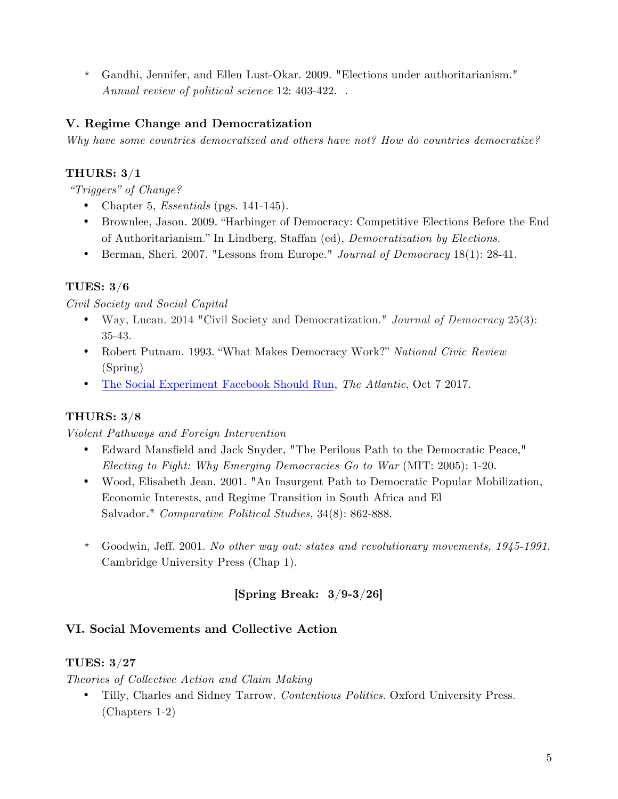\* Gandhi, Jennifer, and Ellen Lust-Okar. 2009. "Elections under authoritarianism." *Annual review of political science* 12: 403-422. .

### **V. Regime Change and Democratization**

*Why have some countries democratized and others have not? How do countries democratize?*

### **THURS: 3/1**

*"Triggers" of Change?*

- Chapter 5, *Essentials* (pgs. 141-145).
- Brownlee, Jason. 2009. "Harbinger of Democracy: Competitive Elections Before the End of Authoritarianism." In Lindberg, Staffan (ed), *Democratization by Elections*.
- Berman, Sheri. 2007. "Lessons from Europe." *Journal of Democracy* 18(1): 28-41.

### **TUES: 3/6**

*Civil Society and Social Capital* 

- Way, Lucan. 2014 "Civil Society and Democratization." *Journal of Democracy* 25(3): 35-43.
- Robert Putnam. 1993. "What Makes Democracy Work?" *National Civic Review* (Spring)
- The Social Experiment Facebook Should Run, *The Atlantic*, Oct 7 2017.

### **THURS: 3/8**

*Violent Pathways and Foreign Intervention*

- Edward Mansfield and Jack Snyder, "The Perilous Path to the Democratic Peace," *Electing to Fight: Why Emerging Democracies Go to War* (MIT: 2005): 1-20.
- Wood, Elisabeth Jean. 2001. "An Insurgent Path to Democratic Popular Mobilization, Economic Interests, and Regime Transition in South Africa and El Salvador." *Comparative Political Studies,* 34(8): 862-888.
- \* Goodwin, Jeff. 2001. *No other way out: states and revolutionary movements, 1945-1991*. Cambridge University Press (Chap 1).

## **[Spring Break: 3/9-3/26]**

### **VI. Social Movements and Collective Action**

### **TUES: 3/27**

*Theories of Collective Action and Claim Making* 

• Tilly, Charles and Sidney Tarrow. *Contentious Politics*. Oxford University Press. (Chapters 1-2)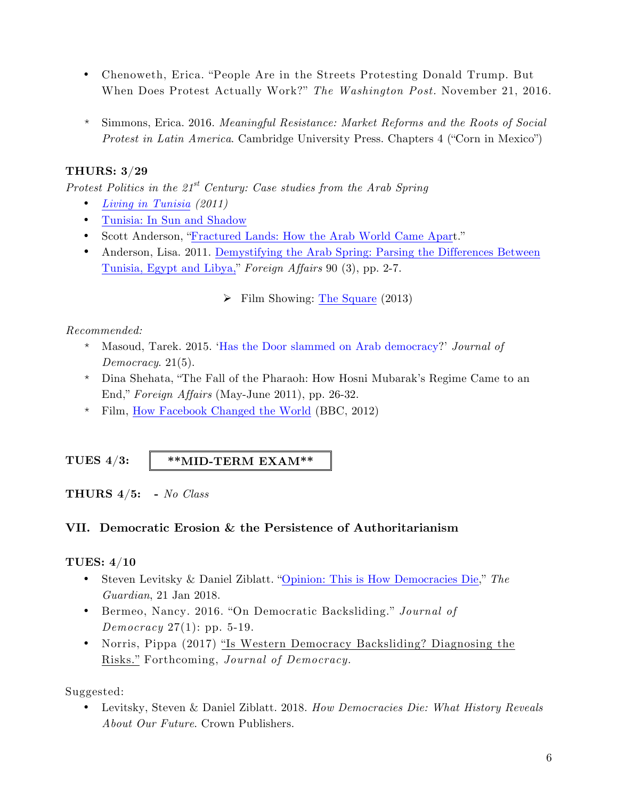- Chenoweth, Erica. "People Are in the Streets Protesting Donald Trump. But When Does Protest Actually Work?" *The Washington Post.* November 21, 2016.
- \* Simmons, Erica. 2016. *Meaningful Resistance: Market Reforms and the Roots of Social Protest in Latin America*. Cambridge University Press. Chapters 4 ("Corn in Mexico")

### **THURS: 3/29**

*Protest Politics in the 21st Century: Case studies from the Arab Spring*

- *Living in Tunisia (2011)*
- Tunisia: In Sun and Shadow
- Scott Anderson, "Fractured Lands: How the Arab World Came Apart."
- Anderson, Lisa. 2011. Demystifying the Arab Spring: Parsing the Differences Between Tunisia, Egypt and Libya," *Foreign Affairs* 90 (3), pp. 2‐7.
	- $\triangleright$  Film Showing: The Square (2013)

#### *Recommended:*

- \* Masoud, Tarek. 2015. 'Has the Door slammed on Arab democracy?' *Journal of Democracy*. 21(5).
- \* Dina Shehata, "The Fall of the Pharaoh: How Hosni Mubarak's Regime Came to an End," *Foreign Affairs* (May-June 2011), pp. 26-32.
- \* Film, How Facebook Changed the World (BBC, 2012)

#### **TUES 4/3:**

#### **\*\*MID-TERM EXAM\*\***

**THURS 4/5: -** *No Class*

#### **VII. Democratic Erosion & the Persistence of Authoritarianism**

#### **TUES: 4/10**

- Steven Levitsky & Daniel Ziblatt. "Opinion: This is How Democracies Die," *The Guardian*, 21 Jan 2018.
- Bermeo, Nancy. 2016. "On Democratic Backsliding." *Journal of Democracy* 27(1): pp. 5-19.
- Norris, Pippa (2017) "Is Western Democracy Backsliding? Diagnosing the Risks." Forthcoming, *Journal of Democracy.*

Suggested:

• Levitsky, Steven & Daniel Ziblatt. 2018. *How Democracies Die: What History Reveals About Our Future*. Crown Publishers.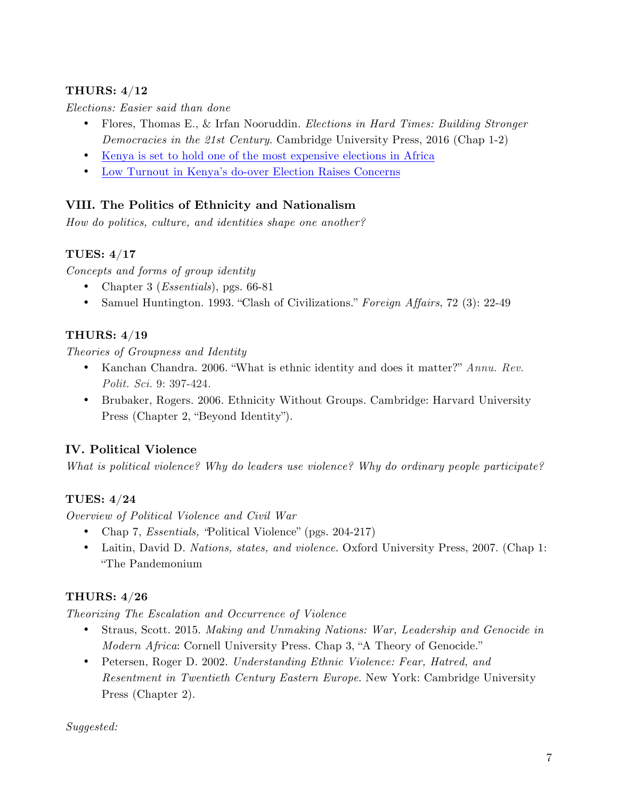#### **THURS: 4/12**

*Elections: Easier said than done*

- Flores, Thomas E., & Irfan Nooruddin. *Elections in Hard Times: Building Stronger Democracies in the 21st Century*. Cambridge University Press, 2016 (Chap 1-2)
- Kenya is set to hold one of the most expensive elections in Africa
- Low Turnout in Kenya's do-over Election Raises Concerns

### **VIII. The Politics of Ethnicity and Nationalism**

*How do politics, culture, and identities shape one another?*

#### **TUES: 4/17**

*Concepts and forms of group identity*

- Chapter 3 (*Essentials*), pgs. 66-81
- Samuel Huntington. 1993. "Clash of Civilizations." *Foreign Affairs*, 72 (3): 22-49

### **THURS: 4/19**

*Theories of Groupness and Identity*

- Kanchan Chandra. 2006. "What is ethnic identity and does it matter?" *Annu. Rev. Polit. Sci.* 9: 397-424.
- Brubaker, Rogers. 2006. Ethnicity Without Groups. Cambridge: Harvard University Press (Chapter 2, "Beyond Identity").

### **IV. Political Violence**

*What is political violence? Why do leaders use violence? Why do ordinary people participate?* 

### **TUES: 4/24**

*Overview of Political Violence and Civil War* 

- Chap 7, *Essentials, "*Political Violence" (pgs. 204-217)
- Laitin, David D. *Nations, states, and violence*. Oxford University Press, 2007. (Chap 1: "The Pandemonium

### **THURS: 4/26**

*Theorizing The Escalation and Occurrence of Violence*

- Straus, Scott. 2015. *Making and Unmaking Nations: War, Leadership and Genocide in Modern Africa*: Cornell University Press. Chap 3, "A Theory of Genocide."
- Petersen, Roger D. 2002. *Understanding Ethnic Violence: Fear, Hatred, and Resentment in Twentieth Century Eastern Europe*. New York: Cambridge University Press (Chapter 2).

#### *Suggested:*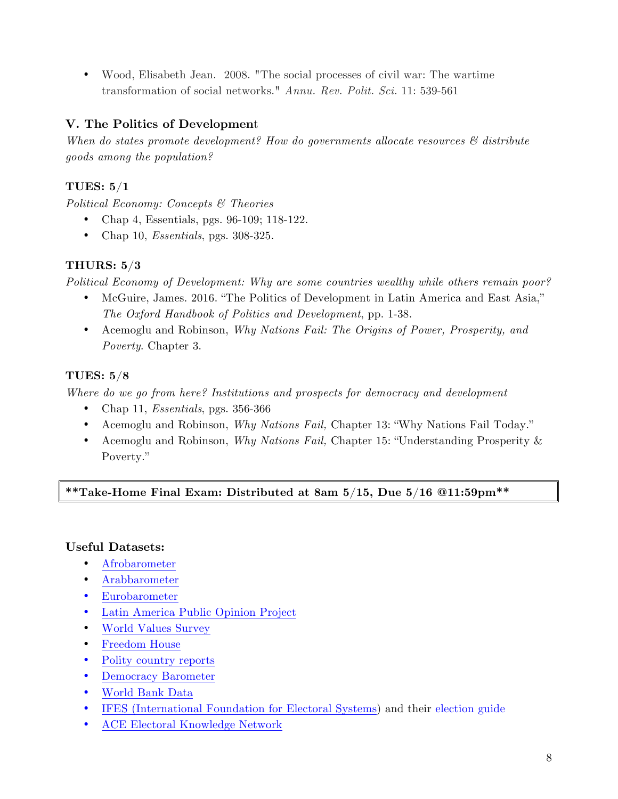• Wood, Elisabeth Jean. 2008. "The social processes of civil war: The wartime transformation of social networks." *Annu. Rev. Polit. Sci.* 11: 539-561

#### **V. The Politics of Developmen**t

*When do states promote development? How do governments allocate resources & distribute goods among the population?* 

#### **TUES: 5/1**

*Political Economy: Concepts & Theories*

- Chap 4, Essentials, pgs. 96-109; 118-122.
- Chap 10, *Essentials*, pgs. 308-325.

#### **THURS: 5/3**

*Political Economy of Development: Why are some countries wealthy while others remain poor?*

- McGuire, James. 2016. "The Politics of Development in Latin America and East Asia," *The Oxford Handbook of Politics and Development*, pp. 1-38.
- Acemoglu and Robinson, *Why Nations Fail: The Origins of Power, Prosperity, and Poverty*. Chapter 3.

#### **TUES: 5/8**

*Where do we go from here? Institutions and prospects for democracy and development*

- Chap 11, *Essentials*, pgs. 356-366
- Acemoglu and Robinson, *Why Nations Fail,* Chapter 13: "Why Nations Fail Today."
- Acemoglu and Robinson, *Why Nations Fail,* Chapter 15: "Understanding Prosperity & Poverty."

#### **\*\*Take-Home Final Exam: Distributed at 8am 5/15, Due 5/16 @11:59pm\*\***

#### **Useful Datasets:**

- Afrobarometer
- Arabbarometer
- Eurobarometer
- Latin America Public Opinion Project
- World Values Survey
- Freedom House
- Polity country reports
- Democracy Barometer
- World Bank Data
- IFES (International Foundation for Electoral Systems) and their election guide
- ACE Electoral Knowledge Network